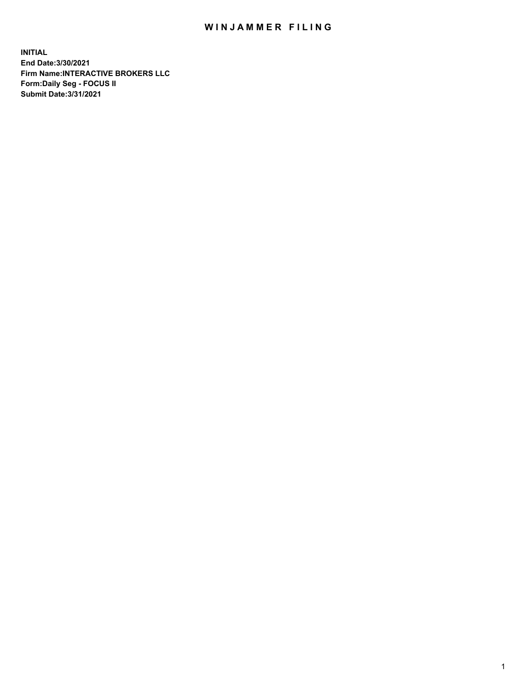## WIN JAMMER FILING

**INITIAL End Date:3/30/2021 Firm Name:INTERACTIVE BROKERS LLC Form:Daily Seg - FOCUS II Submit Date:3/31/2021**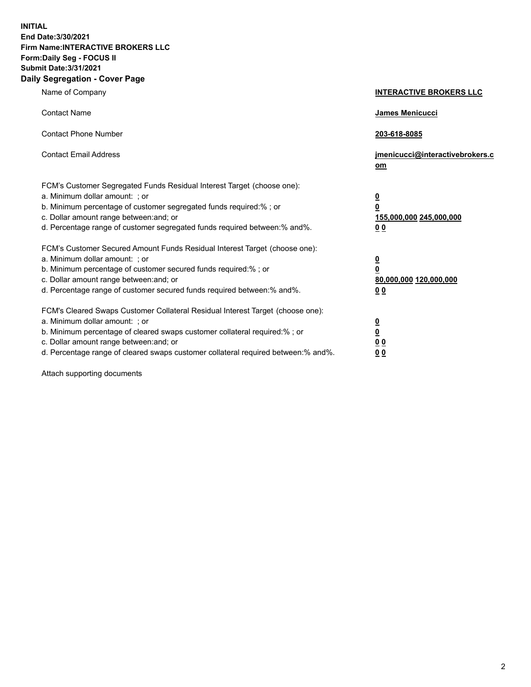**INITIAL End Date:3/30/2021 Firm Name:INTERACTIVE BROKERS LLC Form:Daily Seg - FOCUS II Submit Date:3/31/2021 Daily Segregation - Cover Page**

| Name of Company                                                                                                                                                                                                                                                                                                                | <b>INTERACTIVE BROKERS LLC</b>                                                   |  |
|--------------------------------------------------------------------------------------------------------------------------------------------------------------------------------------------------------------------------------------------------------------------------------------------------------------------------------|----------------------------------------------------------------------------------|--|
| <b>Contact Name</b>                                                                                                                                                                                                                                                                                                            | James Menicucci                                                                  |  |
| <b>Contact Phone Number</b>                                                                                                                                                                                                                                                                                                    | 203-618-8085                                                                     |  |
| <b>Contact Email Address</b>                                                                                                                                                                                                                                                                                                   | jmenicucci@interactivebrokers.c<br>om                                            |  |
| FCM's Customer Segregated Funds Residual Interest Target (choose one):<br>a. Minimum dollar amount: ; or<br>b. Minimum percentage of customer segregated funds required:% ; or<br>c. Dollar amount range between: and; or<br>d. Percentage range of customer segregated funds required between:% and%.                         | <u>0</u><br>$\overline{\mathbf{0}}$<br>155,000,000 245,000,000<br>0 <sub>0</sub> |  |
| FCM's Customer Secured Amount Funds Residual Interest Target (choose one):<br>a. Minimum dollar amount: ; or<br>b. Minimum percentage of customer secured funds required:% ; or<br>c. Dollar amount range between: and; or<br>d. Percentage range of customer secured funds required between:% and%.                           | <u>0</u><br>$\overline{\mathbf{0}}$<br>80,000,000 120,000,000<br>0 <sub>0</sub>  |  |
| FCM's Cleared Swaps Customer Collateral Residual Interest Target (choose one):<br>a. Minimum dollar amount: ; or<br>b. Minimum percentage of cleared swaps customer collateral required:% ; or<br>c. Dollar amount range between: and; or<br>d. Percentage range of cleared swaps customer collateral required between:% and%. | <u>0</u><br>$\underline{\mathbf{0}}$<br>0 <sub>0</sub><br>0 <sub>0</sub>         |  |

Attach supporting documents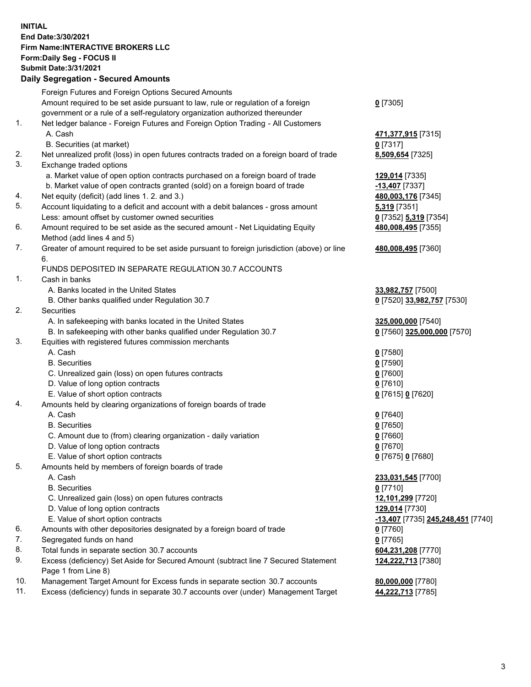**INITIAL End Date:3/30/2021 Firm Name:INTERACTIVE BROKERS LLC Form:Daily Seg - FOCUS II Submit Date:3/31/2021 Daily Segregation - Secured Amounts**

## Foreign Futures and Foreign Options Secured Amounts Amount required to be set aside pursuant to law, rule or regulation of a foreign government or a rule of a self-regulatory organization authorized thereunder **0** [7305] 1. Net ledger balance - Foreign Futures and Foreign Option Trading - All Customers A. Cash **471,377,915** [7315] B. Securities (at market) **0** [7317] 2. Net unrealized profit (loss) in open futures contracts traded on a foreign board of trade **8,509,654** [7325] 3. Exchange traded options a. Market value of open option contracts purchased on a foreign board of trade **129,014** [7335] b. Market value of open contracts granted (sold) on a foreign board of trade **-13,407** [7337] 4. Net equity (deficit) (add lines 1. 2. and 3.) **480,003,176** [7345] 5. Account liquidating to a deficit and account with a debit balances - gross amount **5,319** [7351] Less: amount offset by customer owned securities **0** [7352] **5,319** [7354] 6. Amount required to be set aside as the secured amount - Net Liquidating Equity Method (add lines 4 and 5) **480,008,495** [7355] 7. Greater of amount required to be set aside pursuant to foreign jurisdiction (above) or line 6. **480,008,495** [7360] FUNDS DEPOSITED IN SEPARATE REGULATION 30.7 ACCOUNTS 1. Cash in banks A. Banks located in the United States **33,982,757** [7500] B. Other banks qualified under Regulation 30.7 **0** [7520] **33,982,757** [7530] 2. Securities A. In safekeeping with banks located in the United States **325,000,000** [7540] B. In safekeeping with other banks qualified under Regulation 30.7 **0** [7560] **325,000,000** [7570] 3. Equities with registered futures commission merchants A. Cash **0** [7580] B. Securities **0** [7590] C. Unrealized gain (loss) on open futures contracts **0** [7600] D. Value of long option contracts **0** [7610] E. Value of short option contracts **0** [7615] **0** [7620] 4. Amounts held by clearing organizations of foreign boards of trade A. Cash **0** [7640] B. Securities **0** [7650] C. Amount due to (from) clearing organization - daily variation **0** [7660] D. Value of long option contracts **0** [7670] E. Value of short option contracts **0** [7675] **0** [7680] 5. Amounts held by members of foreign boards of trade A. Cash **233,031,545** [7700] B. Securities **0** [7710] C. Unrealized gain (loss) on open futures contracts **12,101,299** [7720] D. Value of long option contracts **129,014** [7730] E. Value of short option contracts **-13,407** [7735] **245,248,451** [7740] 6. Amounts with other depositories designated by a foreign board of trade **0** [7760] 7. Segregated funds on hand **0** [7765] 8. Total funds in separate section 30.7 accounts **604,231,208** [7770] 9. Excess (deficiency) Set Aside for Secured Amount (subtract line 7 Secured Statement Page 1 from Line 8) **124,222,713** [7380] 10. Management Target Amount for Excess funds in separate section 30.7 accounts **80,000,000** [7780] 11. Excess (deficiency) funds in separate 30.7 accounts over (under) Management Target **44,222,713** [7785]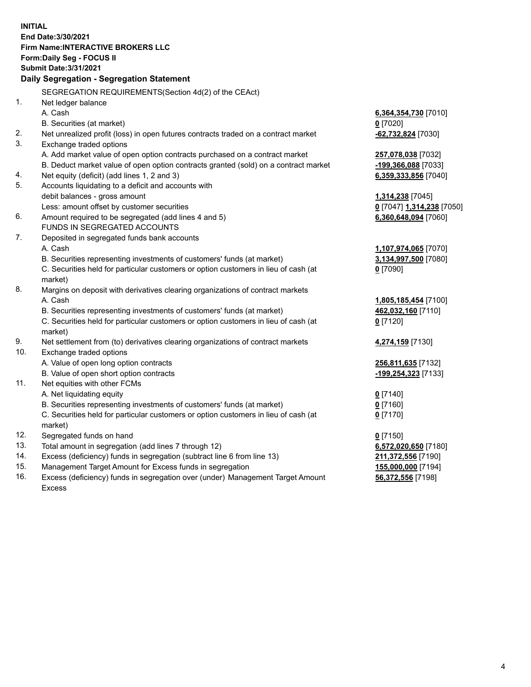**INITIAL End Date:3/30/2021 Firm Name:INTERACTIVE BROKERS LLC Form:Daily Seg - FOCUS II Submit Date:3/31/2021 Daily Segregation - Segregation Statement** SEGREGATION REQUIREMENTS(Section 4d(2) of the CEAct) 1. Net ledger balance A. Cash **6,364,354,730** [7010] B. Securities (at market) **0** [7020] 2. Net unrealized profit (loss) in open futures contracts traded on a contract market **-62,732,824** [7030] 3. Exchange traded options A. Add market value of open option contracts purchased on a contract market **257,078,038** [7032] B. Deduct market value of open option contracts granted (sold) on a contract market **-199,366,088** [7033] 4. Net equity (deficit) (add lines 1, 2 and 3) **6,359,333,856** [7040] 5. Accounts liquidating to a deficit and accounts with debit balances - gross amount **1,314,238** [7045] Less: amount offset by customer securities **0** [7047] **1,314,238** [7050] 6. Amount required to be segregated (add lines 4 and 5) **6,360,648,094** [7060] FUNDS IN SEGREGATED ACCOUNTS 7. Deposited in segregated funds bank accounts A. Cash **1,107,974,065** [7070] B. Securities representing investments of customers' funds (at market) **3,134,997,500** [7080] C. Securities held for particular customers or option customers in lieu of cash (at market) **0** [7090] 8. Margins on deposit with derivatives clearing organizations of contract markets A. Cash **1,805,185,454** [7100] B. Securities representing investments of customers' funds (at market) **462,032,160** [7110] C. Securities held for particular customers or option customers in lieu of cash (at market) **0** [7120] 9. Net settlement from (to) derivatives clearing organizations of contract markets **4,274,159** [7130] 10. Exchange traded options A. Value of open long option contracts **256,811,635** [7132] B. Value of open short option contracts **-199,254,323** [7133] 11. Net equities with other FCMs A. Net liquidating equity **0** [7140] B. Securities representing investments of customers' funds (at market) **0** [7160] C. Securities held for particular customers or option customers in lieu of cash (at market) **0** [7170] 12. Segregated funds on hand **0** [7150] 13. Total amount in segregation (add lines 7 through 12) **6,572,020,650** [7180] 14. Excess (deficiency) funds in segregation (subtract line 6 from line 13) **211,372,556** [7190] 15. Management Target Amount for Excess funds in segregation **155,000,000** [7194] **56,372,556** [7198]

16. Excess (deficiency) funds in segregation over (under) Management Target Amount Excess